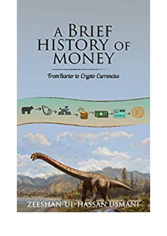## A BRIEF HISTORY OF

**Trom Barter to Crypto Currencies** 

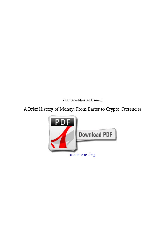*Zeeshan-ul-hassan Usmani*

## **A Brief History of Money: From Barter to Crypto Currencies**

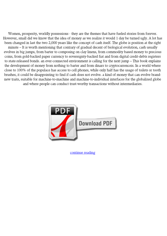Women, prosperity, worldly possessions - they are the themes that have fueled stories from forever. However, small did we know that the idea of money as we realize it would 1 day be turned ugly. A lot has been changed in last the two 2,000 years like the concept of cash itself. The globe is position at the right minute – It is worth mentioning that contrary of gradual decent of biological evolution, cash usually evolves in big jumps, from barter to composing on clay linens, from commodity based money to precious coins, from gold-backed paper currency to sovereignty-backed fiat and from digital credit-debts registers to state-released bonds. an ever-connected environment is calling for the next jump – This book explains the development of money from nothing to barter and from dinars to cryptocurrenceis. In a world where close to 100% of the populace has access to cell phones, while only half has the usage of toilets or tooth brushes, it could be disappointing to find if cash does not evolve. a kind of money that can evolve brandnew traits, suitable for machine-to-machine and machine-to-individual interfaces for the globalized globe and where people can conduct trust-worthy transactions without intermediaries.



[continue reading](http://bit.ly/2Tge8Fv)